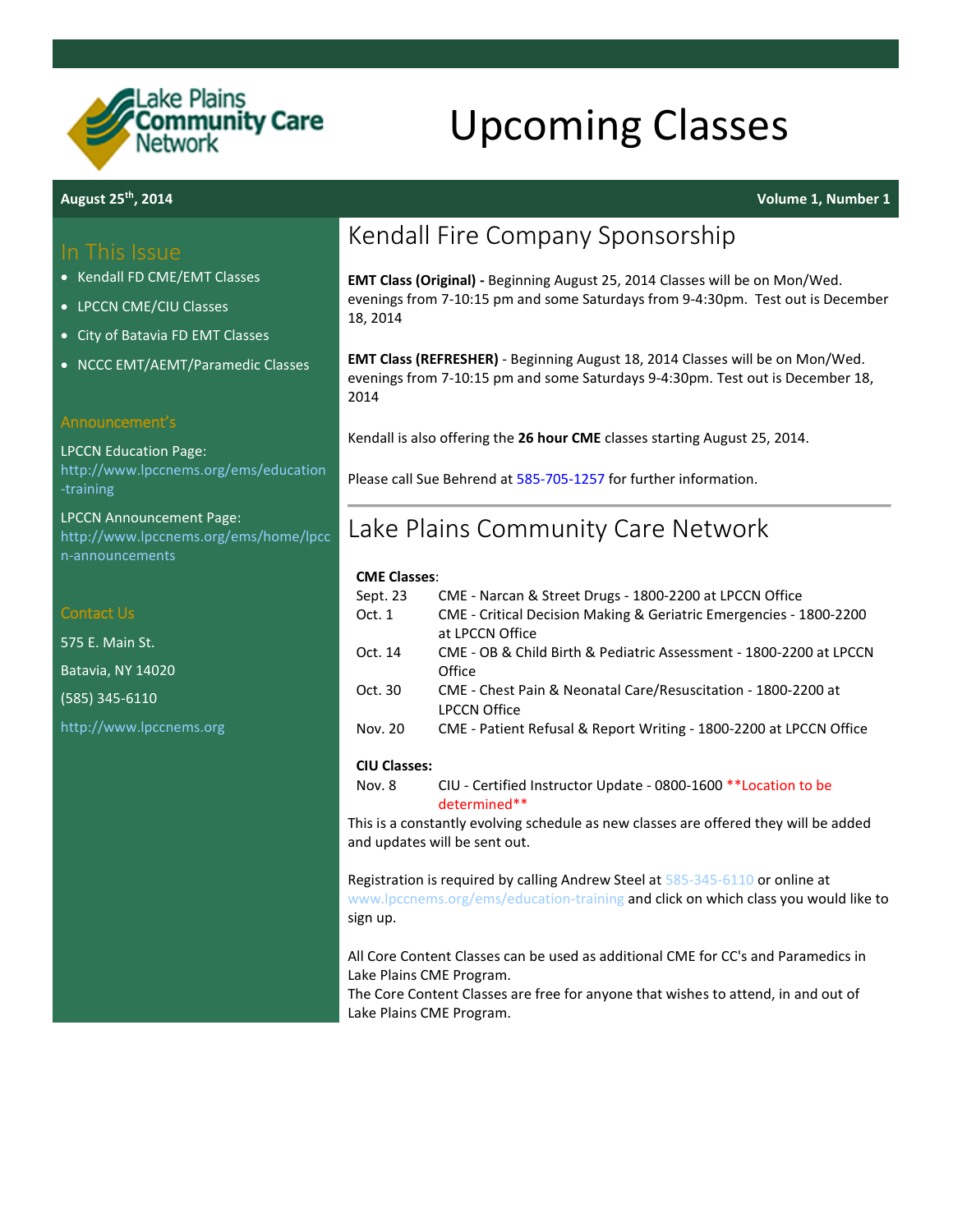

# Upcoming Classes

### In This Issue

- Kendall FD CME/EMT Classes
- LPCCN CME/CIU Classes
- City of Batavia FD EMT Classes
- NCCC EMT/AEMT/Paramedic Classes

### Announcement's

LPCCN Education Page: [http://www.lpccnems.org/ems/education](http://www.lpccnems.org/ems/education-training) [-training](http://www.lpccnems.org/ems/education-training)

LPCCN Announcement Page: [http://www.lpccnems.org/ems/home/lpcc](http://www.lpccnems.org/ems/home/lpccn-announcements) [n-announcements](http://www.lpccnems.org/ems/home/lpccn-announcements)

### Contact Us

575 E. Main St. Batavia, NY 14020 (585) 345-6110 [http://www.lpccnems.org](http://www.lpccnems.org/)

## Kendall Fire Company Sponsorship

**EMT Class (Original) -** Beginning August 25, 2014 Classes will be on Mon/Wed. evenings from 7-10:15 pm and some Saturdays from 9-4:30pm. Test out is December 18, 2014

**EMT Class (REFRESHER)** - Beginning August 18, 2014 Classes will be on Mon/Wed. evenings from 7-10:15 pm and some Saturdays 9-4:30pm. Test out is December 18, 2014

Kendall is also offering the **26 hour CME** classes starting August 25, 2014.

Please call Sue Behrend at [585-705-1257](tel:15857051257) for further information.

### Lake Plains Community Care Network

### **CME Classes**:

| Sept. 23            | CME - Narcan & Street Drugs - 1800-2200 at LPCCN Office                               |
|---------------------|---------------------------------------------------------------------------------------|
| Oct.1               | CME - Critical Decision Making & Geriatric Emergencies - 1800-2200<br>at LPCCN Office |
| Oct. 14             | CME - OB & Child Birth & Pediatric Assessment - 1800-2200 at LPCCN<br>Office          |
| Oct. 30             | CME - Chest Pain & Neonatal Care/Resuscitation - 1800-2200 at<br><b>LPCCN Office</b>  |
| Nov. 20             | CME - Patient Refusal & Report Writing - 1800-2200 at LPCCN Office                    |
| <b>CIU Classes:</b> |                                                                                       |

### Nov. 8 CIU - Certified Instructor Update - [0800-1600 \\*\\*Location to be](https://drive.google.com/open?id=1SVgrtYRI68UzEXF6wNE_k5V0Z7xGeHvVKD4IDwKEPmg&authuser=0)  [determined\\*\\*](https://drive.google.com/open?id=1SVgrtYRI68UzEXF6wNE_k5V0Z7xGeHvVKD4IDwKEPmg&authuser=0)

This is a constantly evolving schedule as new classes are offered they will be added and updates will be sent out.

Registration is required by calling Andrew Steel a[t 585-345-6110](tel:15853456110) or online at [www.lpccnems.org/ems/education-training](http://www.lpccnems.org/ems/education-training) and click on which class you would like to sign up.

All Core Content Classes can be used as additional CME for CC's and Paramedics in Lake Plains CME Program.

The Core Content Classes are free for anyone that wishes to attend, in and out of Lake Plains CME Program.